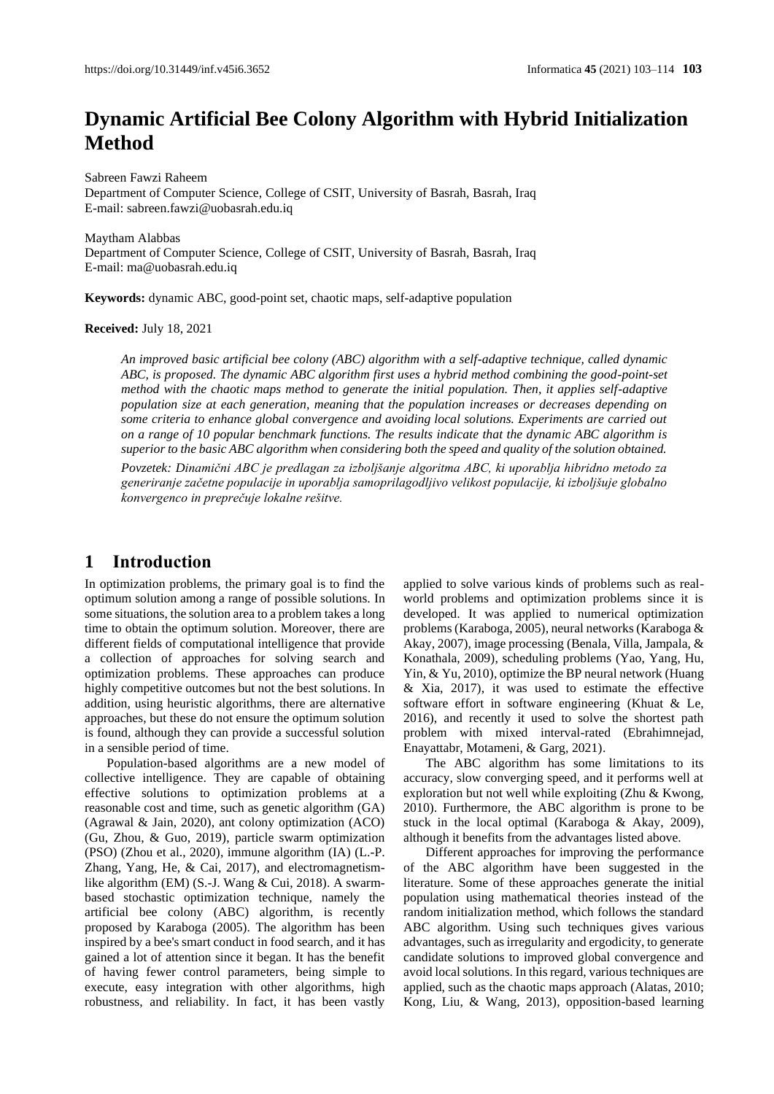# **Dynamic Artificial Bee Colony Algorithm with Hybrid Initialization Method**

Sabreen Fawzi Raheem Department of Computer Science, College of CSIT, University of Basrah, Basrah, Iraq E-mail[: sabreen.fawzi@uobasrah.edu.iq](mailto:sabreen.fawzi@uobasrah.edu.iq)

Maytham Alabbas Department of Computer Science, College of CSIT, University of Basrah, Basrah, Iraq E-mail[: ma@uobasrah.edu.iq](mailto:ma@uobasrah.edu.iq)

**Keywords:** dynamic ABC, good-point set, chaotic maps, self-adaptive population

**Received:** July 18, 2021

*An improved basic artificial bee colony (ABC) algorithm with a self-adaptive technique, called dynamic ABC, is proposed. The dynamic ABC algorithm first uses a hybrid method combining the good-point-set method with the chaotic maps method to generate the initial population. Then, it applies self-adaptive population size at each generation, meaning that the population increases or decreases depending on some criteria to enhance global convergence and avoiding local solutions. Experiments are carried out on a range of 10 popular benchmark functions. The results indicate that the dynamic ABC algorithm is superior to the basic ABC algorithm when considering both the speed and quality of the solution obtained.*

*Povzetek: Dinamični ABC je predlagan za izboljšanje algoritma ABC, ki uporablja hibridno metodo za generiranje začetne populacije in uporablja samoprilagodljivo velikost populacije, ki izboljšuje globalno konvergenco in preprečuje lokalne rešitve.*

### **1 Introduction**

In optimization problems, the primary goal is to find the optimum solution among a range of possible solutions. In some situations, the solution area to a problem takes a long time to obtain the optimum solution. Moreover, there are different fields of computational intelligence that provide a collection of approaches for solving search and optimization problems. These approaches can produce highly competitive outcomes but not the best solutions. In addition, using heuristic algorithms, there are alternative approaches, but these do not ensure the optimum solution is found, although they can provide a successful solution in a sensible period of time.

Population-based algorithms are a new model of collective intelligence. They are capable of obtaining effective solutions to optimization problems at a reasonable cost and time, such as genetic algorithm (GA) (Agrawal & Jain, 2020), ant colony optimization (ACO) (Gu, Zhou, & Guo, 2019), particle swarm optimization (PSO) (Zhou et al., 2020), immune algorithm (IA) (L.-P. Zhang, Yang, He, & Cai, 2017), and electromagnetismlike algorithm (EM) (S.-J. Wang & Cui, 2018). A swarmbased stochastic optimization technique, namely the artificial bee colony (ABC) algorithm, is recently proposed by Karaboga (2005). The algorithm has been inspired by a bee's smart conduct in food search, and it has gained a lot of attention since it began. It has the benefit of having fewer control parameters, being simple to execute, easy integration with other algorithms, high robustness, and reliability. In fact, it has been vastly

applied to solve various kinds of problems such as realworld problems and optimization problems since it is developed. It was applied to numerical optimization problems(Karaboga, 2005), neural networks (Karaboga & Akay, 2007), image processing (Benala, Villa, Jampala, & Konathala, 2009), scheduling problems (Yao, Yang, Hu, Yin, & Yu, 2010), optimize the BP neural network (Huang & Xia, 2017), it was used to estimate the effective software effort in software engineering (Khuat & Le, 2016), and recently it used to solve the shortest path problem with mixed interval-rated (Ebrahimnejad, Enayattabr, Motameni, & Garg, 2021).

The ABC algorithm has some limitations to its accuracy, slow converging speed, and it performs well at exploration but not well while exploiting (Zhu & Kwong, 2010). Furthermore, the ABC algorithm is prone to be stuck in the local optimal (Karaboga & Akay, 2009), although it benefits from the advantages listed above.

Different approaches for improving the performance of the ABC algorithm have been suggested in the literature. Some of these approaches generate the initial population using mathematical theories instead of the random initialization method, which follows the standard ABC algorithm. Using such techniques gives various advantages, such as irregularity and ergodicity, to generate candidate solutions to improved global convergence and avoid local solutions. In this regard, various techniques are applied, such as the chaotic maps approach (Alatas, 2010; Kong, Liu, & Wang, 2013), opposition-based learning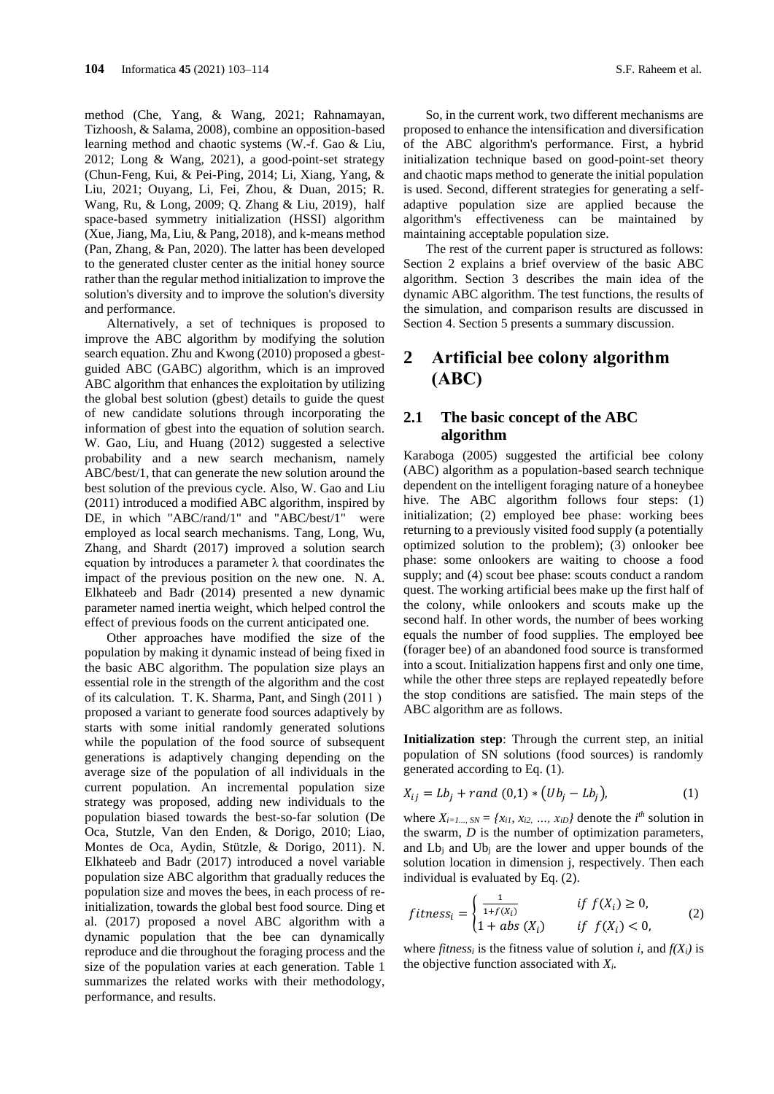method (Che, Yang, & Wang, 2021; Rahnamayan, Tizhoosh, & Salama, 2008), combine an opposition-based learning method and chaotic systems (W.-f. Gao & Liu, 2012; Long & Wang, 2021), a good-point-set strategy (Chun-Feng, Kui, & Pei-Ping, 2014; Li, Xiang, Yang, & Liu, 2021; Ouyang, Li, Fei, Zhou, & Duan, 2015; R. Wang, Ru, & Long, 2009; Q. Zhang & Liu, 2019), half space-based symmetry initialization (HSSI) algorithm (Xue, Jiang, Ma, Liu, & Pang, 2018), and k-means method (Pan, Zhang, & Pan, 2020). The latter has been developed to the generated cluster center as the initial honey source rather than the regular method initialization to improve the solution's diversity and to improve the solution's diversity and performance.

Alternatively, a set of techniques is proposed to improve the ABC algorithm by modifying the solution search equation. Zhu and Kwong (2010) proposed a gbestguided ABC (GABC) algorithm, which is an improved ABC algorithm that enhances the exploitation by utilizing the global best solution (gbest) details to guide the quest of new candidate solutions through incorporating the information of gbest into the equation of solution search. W. Gao, Liu, and Huang (2012) suggested a selective probability and a new search mechanism, namely ABC/best/1, that can generate the new solution around the best solution of the previous cycle. Also, W. Gao and Liu (2011) introduced a modified ABC algorithm, inspired by DE, in which "ABC/rand/1" and "ABC/best/1" were employed as local search mechanisms. Tang, Long, Wu, Zhang, and Shardt (2017) improved a solution search equation by introduces a parameter  $\lambda$  that coordinates the impact of the previous position on the new one. N. A. Elkhateeb and Badr (2014) presented a new dynamic parameter named inertia weight, which helped control the effect of previous foods on the current anticipated one.

Other approaches have modified the size of the population by making it dynamic instead of being fixed in the basic ABC algorithm. The population size plays an essential role in the strength of the algorithm and the cost of its calculation. T. K. Sharma, Pant, and Singh  $(2011)$ proposed a variant to generate food sources adaptively by starts with some initial randomly generated solutions while the population of the food source of subsequent generations is adaptively changing depending on the average size of the population of all individuals in the current population. An incremental population size strategy was proposed, adding new individuals to the population biased towards the best-so-far solution (De Oca, Stutzle, Van den Enden, & Dorigo, 2010; Liao, Montes de Oca, Aydin, Stützle, & Dorigo, 2011). N. Elkhateeb and Badr (2017) introduced a novel variable population size ABC algorithm that gradually reduces the population size and moves the bees, in each process of reinitialization, towards the global best food source. Ding et al. (2017) proposed a novel ABC algorithm with a dynamic population that the bee can dynamically reproduce and die throughout the foraging process and the size of the population varies at each generation. Table 1 summarizes the related works with their methodology, performance, and results.

So, in the current work, two different mechanisms are proposed to enhance the intensification and diversification of the ABC algorithm's performance. First, a hybrid initialization technique based on good-point-set theory and chaotic maps method to generate the initial population is used. Second, different strategies for generating a selfadaptive population size are applied because the algorithm's effectiveness can be maintained by maintaining acceptable population size.

The rest of the current paper is structured as follows: Section 2 explains a brief overview of the basic ABC algorithm. Section 3 describes the main idea of the dynamic ABC algorithm. The test functions, the results of the simulation, and comparison results are discussed in Section 4. Section 5 presents a summary discussion.

# **2 Artificial bee colony algorithm (ABC)**

### **2.1 The basic concept of the ABC algorithm**

Karaboga (2005) suggested the artificial bee colony (ABC) algorithm as a population-based search technique dependent on the intelligent foraging nature of a honeybee hive. The ABC algorithm follows four steps: (1) initialization; (2) employed bee phase: working bees returning to a previously visited food supply (a potentially optimized solution to the problem); (3) onlooker bee phase: some onlookers are waiting to choose a food supply; and (4) scout bee phase: scouts conduct a random quest. The working artificial bees make up the first half of the colony, while onlookers and scouts make up the second half. In other words, the number of bees working equals the number of food supplies. The employed bee (forager bee) of an abandoned food source is transformed into a scout. Initialization happens first and only one time, while the other three steps are replayed repeatedly before the stop conditions are satisfied. The main steps of the ABC algorithm are as follows.

**Initialization step**: Through the current step, an initial population of SN solutions (food sources) is randomly generated according to Eq. (1).

$$
X_{ij} = Lb_j + rand(0,1) * (Ub_j - Lb_j),
$$
 (1)

where  $X_{i=1}$ ,  $SN = \{x_{i1}, x_{i2}, \ldots, x_{iD}\}\)$  denote the  $i^{th}$  solution in the swarm, *D* is the number of optimization parameters, and  $L_{\rm b}$  and  $U_{\rm b}$  are the lower and upper bounds of the solution location in dimension j, respectively. Then each individual is evaluated by Eq. (2).

$$
fitness_i = \begin{cases} \frac{1}{1 + f(X_i)} & \text{if } f(X_i) \ge 0, \\ 1 + abs(X_i) & \text{if } f(X_i) < 0, \end{cases} \tag{2}
$$

where *fitness<sub>i</sub>* is the fitness value of solution *i*, and  $f(X_i)$  is the objective function associated with *Xi.*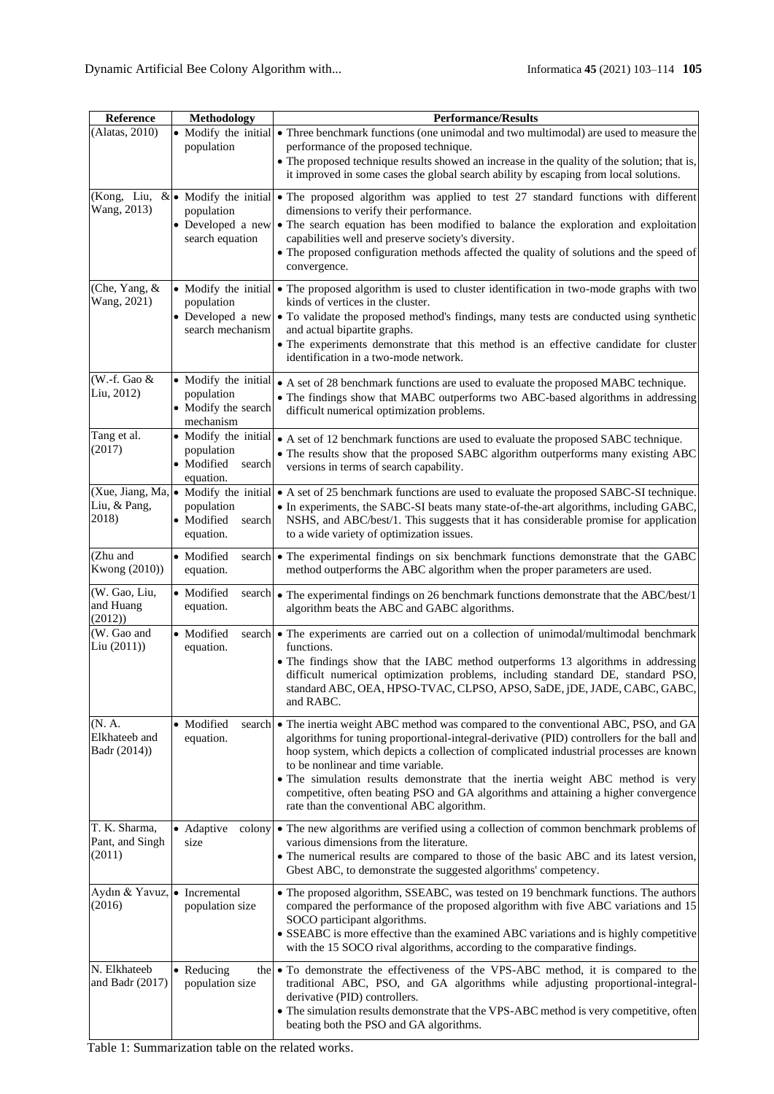| Reference                                  | Methodology                                                             | <b>Performance/Results</b>                                                                                                                                                                                                                                                                                                                                                                                                                                                                                                                  |  |  |  |  |  |  |  |  |
|--------------------------------------------|-------------------------------------------------------------------------|---------------------------------------------------------------------------------------------------------------------------------------------------------------------------------------------------------------------------------------------------------------------------------------------------------------------------------------------------------------------------------------------------------------------------------------------------------------------------------------------------------------------------------------------|--|--|--|--|--|--|--|--|
| (Alatas, 2010)                             | population                                                              | • Modify the initial • Three benchmark functions (one unimodal and two multimodal) are used to measure the<br>performance of the proposed technique.<br>• The proposed technique results showed an increase in the quality of the solution; that is,                                                                                                                                                                                                                                                                                        |  |  |  |  |  |  |  |  |
|                                            |                                                                         | it improved in some cases the global search ability by escaping from local solutions.                                                                                                                                                                                                                                                                                                                                                                                                                                                       |  |  |  |  |  |  |  |  |
| (Kong, Liu,<br>Wang, 2013)                 | population<br>Developed a new<br>search equation                        | & • Modify the initial • The proposed algorithm was applied to test 27 standard functions with different<br>dimensions to verify their performance.<br>• The search equation has been modified to balance the exploration and exploitation<br>capabilities well and preserve society's diversity.<br>• The proposed configuration methods affected the quality of solutions and the speed of<br>convergence.                                                                                                                                |  |  |  |  |  |  |  |  |
| (Che, Yang, &<br>Wang, 2021)               | population<br>search mechanism                                          | • Modify the initial • The proposed algorithm is used to cluster identification in two-mode graphs with two<br>kinds of vertices in the cluster.<br>• Developed a new • To validate the proposed method's findings, many tests are conducted using synthetic<br>and actual bipartite graphs.<br>• The experiments demonstrate that this method is an effective candidate for cluster<br>identification in a two-mode network.                                                                                                               |  |  |  |  |  |  |  |  |
| (W.-f. Gao &<br>Liu, 2012)                 | • Modify the initial<br>population<br>• Modify the search<br>mechanism  | • A set of 28 benchmark functions are used to evaluate the proposed MABC technique.<br>• The findings show that MABC outperforms two ABC-based algorithms in addressing<br>difficult numerical optimization problems.                                                                                                                                                                                                                                                                                                                       |  |  |  |  |  |  |  |  |
| Tang et al.<br>(2017)                      | • Modify the initial<br>population<br>• Modified<br>search<br>equation. | • A set of 12 benchmark functions are used to evaluate the proposed SABC technique.<br>• The results show that the proposed SABC algorithm outperforms many existing ABC<br>versions in terms of search capability.                                                                                                                                                                                                                                                                                                                         |  |  |  |  |  |  |  |  |
| Liu, & Pang,<br>2018)                      | population<br>• Modified<br>search<br>equation.                         | (Xue, Jiang, Ma, • Modify the initial) • A set of 25 benchmark functions are used to evaluate the proposed SABC-SI technique.<br>• In experiments, the SABC-SI beats many state-of-the-art algorithms, including GABC,<br>NSHS, and ABC/best/1. This suggests that it has considerable promise for application<br>to a wide variety of optimization issues.                                                                                                                                                                                 |  |  |  |  |  |  |  |  |
| (Zhu and<br>Kwong (2010))                  | • Modified<br>equation.                                                 | search • The experimental findings on six benchmark functions demonstrate that the GABC<br>method outperforms the ABC algorithm when the proper parameters are used.                                                                                                                                                                                                                                                                                                                                                                        |  |  |  |  |  |  |  |  |
| (W. Gao, Liu,<br>and Huang<br>(2012)       | · Modified<br>equation.                                                 | search • The experimental findings on 26 benchmark functions demonstrate that the ABC/best/1<br>algorithm beats the ABC and GABC algorithms.                                                                                                                                                                                                                                                                                                                                                                                                |  |  |  |  |  |  |  |  |
| (W. Gao and<br>Liu (2011))                 | • Modified<br>equation.                                                 | search • The experiments are carried out on a collection of unimodal/multimodal benchmark<br>functions.<br>• The findings show that the IABC method outperforms 13 algorithms in addressing<br>difficult numerical optimization problems, including standard DE, standard PSO,<br>standard ABC, OEA, HPSO-TVAC, CLPSO, APSO, SaDE, jDE, JADE, CABC, GABC,<br>and RABC.                                                                                                                                                                      |  |  |  |  |  |  |  |  |
| (N. A.<br>Elkhateeb and<br>Badr (2014))    | · Modified<br>equation.                                                 | search • The inertia weight ABC method was compared to the conventional ABC, PSO, and GA<br>algorithms for tuning proportional-integral-derivative (PID) controllers for the ball and<br>hoop system, which depicts a collection of complicated industrial processes are known<br>to be nonlinear and time variable.<br>• The simulation results demonstrate that the inertia weight ABC method is very<br>competitive, often beating PSO and GA algorithms and attaining a higher convergence<br>rate than the conventional ABC algorithm. |  |  |  |  |  |  |  |  |
| T. K. Sharma,<br>Pant, and Singh<br>(2011) | • Adaptive<br>colony<br>size                                            | • The new algorithms are verified using a collection of common benchmark problems of<br>various dimensions from the literature.<br>• The numerical results are compared to those of the basic ABC and its latest version,<br>Gbest ABC, to demonstrate the suggested algorithms' competency.                                                                                                                                                                                                                                                |  |  |  |  |  |  |  |  |
| Aydın & Yavuz, • Incremental<br>(2016)     | population size                                                         | • The proposed algorithm, SSEABC, was tested on 19 benchmark functions. The authors<br>compared the performance of the proposed algorithm with five ABC variations and 15<br>SOCO participant algorithms.<br>• SSEABC is more effective than the examined ABC variations and is highly competitive<br>with the 15 SOCO rival algorithms, according to the comparative findings.                                                                                                                                                             |  |  |  |  |  |  |  |  |
| N. Elkhateeb<br>and Badr $(2017)$          | • Reducing<br>population size                                           | the • To demonstrate the effectiveness of the VPS-ABC method, it is compared to the<br>traditional ABC, PSO, and GA algorithms while adjusting proportional-integral-<br>derivative (PID) controllers.<br>• The simulation results demonstrate that the VPS-ABC method is very competitive, often<br>beating both the PSO and GA algorithms.                                                                                                                                                                                                |  |  |  |  |  |  |  |  |

Table 1: Summarization table on the related works.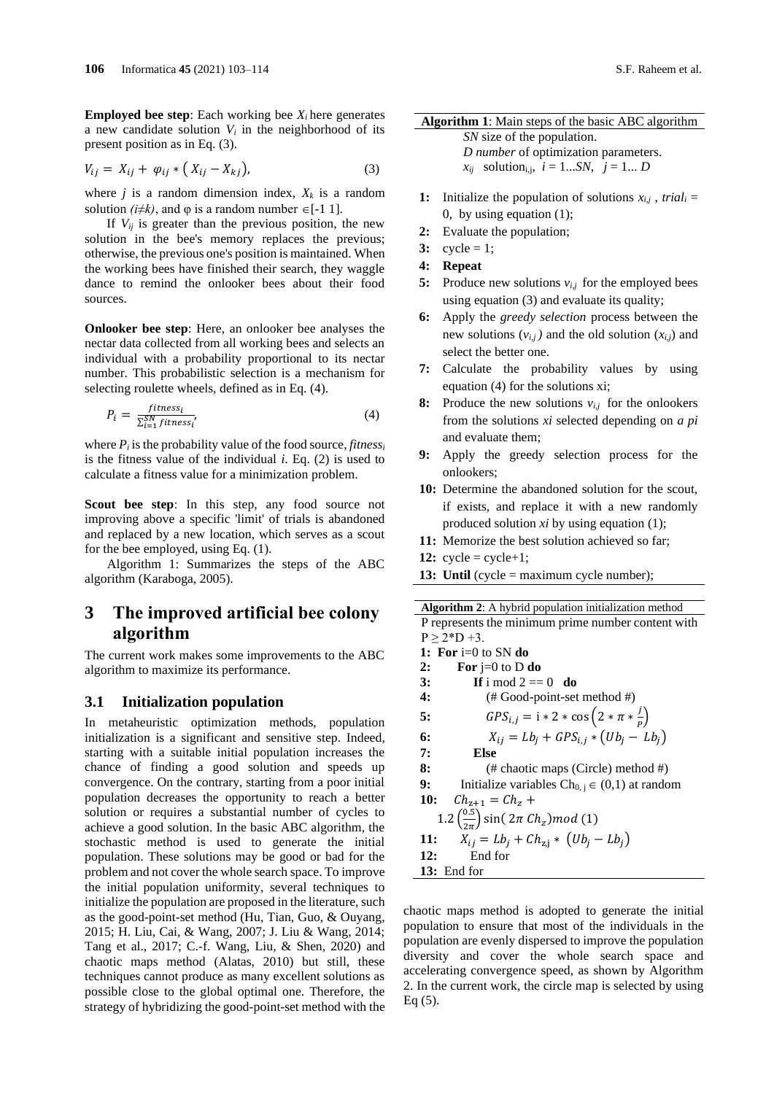**Employed bee step:** Each working bee  $X_i$  here generates a new candidate solution  $V_i$  in the neighborhood of its present position as in Eq. (3).

$$
V_{ij} = X_{ij} + \varphi_{ij} * (X_{ij} - X_{kj}),
$$
 (3)

where  $j$  is a random dimension index,  $X_k$  is a random solution  $(i \neq k)$ , and  $\varphi$  is a random number  $\in [-1 \ 1]$ .

If  $V_{ii}$  is greater than the previous position, the new solution in the bee's memory replaces the previous; otherwise, the previous one's position is maintained. When the working bees have finished their search, they waggle dance to remind the onlooker bees about their food sources.

**Onlooker bee step**: Here, an onlooker bee analyses the nectar data collected from all working bees and selects an individual with a probability proportional to its nectar number. This probabilistic selection is a mechanism for selecting roulette wheels, defined as in Eq. (4).

$$
P_i = \frac{fitness_i}{\sum_{i=1}^{SN} fitness_i'}
$$
 (4)

where  $P_i$  is the probability value of the food source, *fitness<sub>i</sub>* is the fitness value of the individual *i*. Eq. (2) is used to calculate a fitness value for a minimization problem.

Scout bee step: In this step, any food source not improving above a specific 'limit' of trials is abandoned and replaced by a new location, which serves as a scout for the bee employed, using Eq. (1).

Algorithm 1: Summarizes the steps of the ABC algorithm (Karaboga, 2005).

# **3 The improved artificial bee colony algorithm**

The current work makes some improvements to the ABC algorithm to maximize its performance.

### **3.1 Initialization population**

In metaheuristic optimization methods, population initialization is a significant and sensitive step. Indeed, starting with a suitable initial population increases the chance of finding a good solution and speeds up convergence. On the contrary, starting from a poor initial population decreases the opportunity to reach a better solution or requires a substantial number of cycles to achieve a good solution. In the basic ABC algorithm, the stochastic method is used to generate the initial population. These solutions may be good or bad for the problem and not cover the whole search space. To improve the initial population uniformity, several techniques to initialize the population are proposed in the literature, such as the good-point-set method (Hu, Tian, Guo, & Ouyang, 2015; H. Liu, Cai, & Wang, 2007; J. Liu & Wang, 2014; Tang et al., 2017; C.-f. Wang, Liu, & Shen, 2020) and chaotic maps method (Alatas, 2010) but still, these techniques cannot produce as many excellent solutions as possible close to the global optimal one. Therefore, the strategy of hybridizing the good-point-set method with the

### **Algorithm 1**: Main steps of the basic ABC algorithm

 *SN* size of the population. *D number* of optimization parameters.  $x_{ij}$  solution<sub>i,j</sub>,  $i = 1...SN$ ,  $j = 1...D$ 

- **1:** Initialize the population of solutions  $x_{i,j}$ , trial<sub>i</sub> = 0, by using equation (1);
- **2:** Evaluate the population;
- $3:$  cycle = 1;
- **4: Repeat**
- **5:** Produce new solutions  $v_{i,j}$  for the employed bees using equation (3) and evaluate its quality;
- **6:** Apply the *greedy selection* process between the new solutions  $(v_{i,j})$  and the old solution  $(x_{i,j})$  and select the better one.
- **7:** Calculate the probability values by using equation (4) for the solutions xi;
- **8:** Produce the new solutions  $v_{i,j}$  for the onlookers from the solutions *xi* selected depending on *a pi*  and evaluate them;
- **9:** Apply the greedy selection process for the onlookers;
- **10:** Determine the abandoned solution for the scout, if exists, and replace it with a new randomly produced solution *xi* by using equation (1);
- **11:** Memorize the best solution achieved so far;
- **12:**  $cycle = cycle+1$ ;
- **13: Until** (cycle = maximum cycle number);

**Algorithm 2**: A hybrid population initialization method P represents the minimum prime number content with  $P \ge 2*D +3.$ **1: For** i=0 to SN **do 2: For** j=0 to D **do 3:** If i mod  $2 == 0$  do **4:** (# Good-point-set method #) **5:**  $GPS_{i,j} = 1 * 2 * \cos\left(2 * \pi * \frac{j}{k}\right)$  $\frac{1}{P}$ **6:**  $X_{ij} = Lb_j + GPS_{i,j} * (Ub_j - Lb_j)$ **7: Else 8:** (# chaotic maps (Circle) method #) **9:** Initialize variables  $Ch_{0, i} \in (0,1)$  at random 10:  $Ch_{z+1} = Ch_z +$  $1.2 \left( \frac{0.5}{2.1} \right)$  $\left(\frac{0.5}{2\pi}\right)$  sin(  $2\pi$  Ch<sub>z</sub>) mod (1) **11:**  $X_{ij} = Lb_j + Ch_{z,j} * (Ub_j - Lb_j)$ **12:** End for **13:** End for

chaotic maps method is adopted to generate the initial population to ensure that most of the individuals in the population are evenly dispersed to improve the population diversity and cover the whole search space and accelerating convergence speed, as shown by Algorithm 2. In the current work, the circle map is selected by using Eq (5).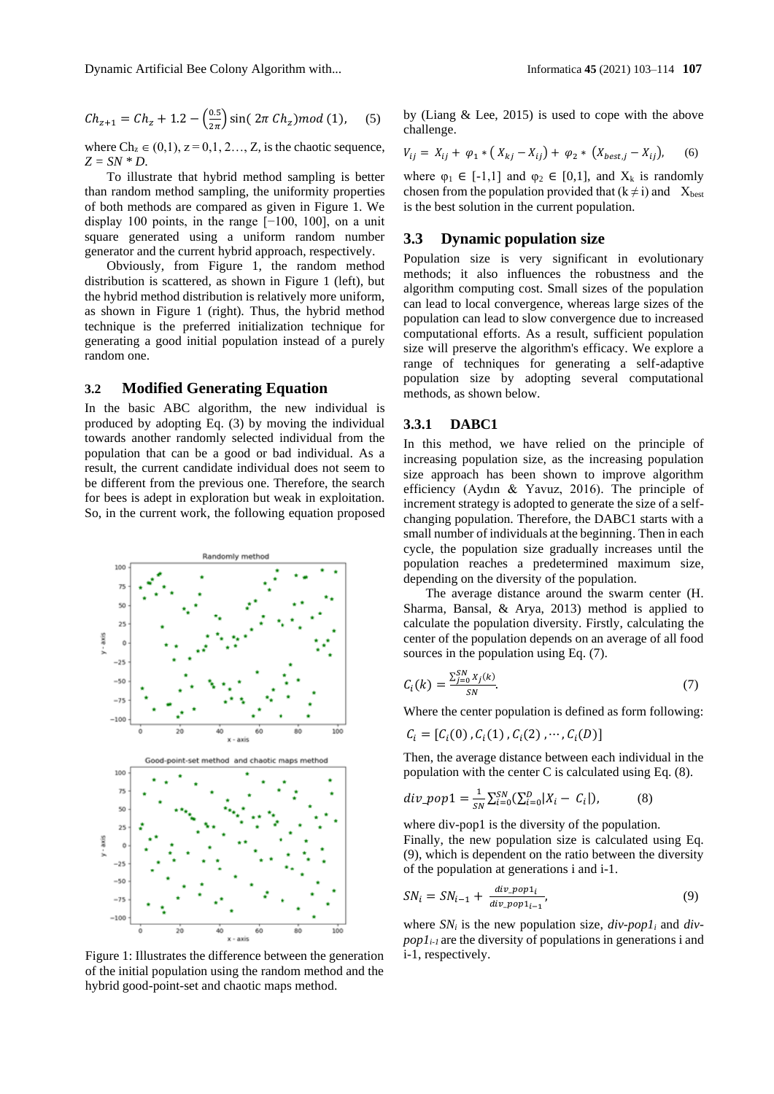$$
Ch_{z+1} = Ch_z + 1.2 - \left(\frac{0.5}{2\pi}\right) \sin(2\pi Ch_z) \mod(1), \quad (5)
$$

where  $Ch_z \in (0,1)$ ,  $z = 0,1, 2..., Z$ , is the chaotic sequence, *Z = SN \* D*.

To illustrate that hybrid method sampling is better than random method sampling, the uniformity properties of both methods are compared as given in Figure 1. We display 100 points, in the range [−100, 100], on a unit square generated using a uniform random number generator and the current hybrid approach, respectively.

Obviously, from Figure 1, the random method distribution is scattered, as shown in Figure 1 (left), but the hybrid method distribution is relatively more uniform, as shown in Figure 1 (right). Thus, the hybrid method technique is the preferred initialization technique for generating a good initial population instead of a purely random one.

#### **3.2 Modified Generating Equation**

In the basic ABC algorithm, the new individual is produced by adopting Eq. (3) by moving the individual towards another randomly selected individual from the population that can be a good or bad individual. As a result, the current candidate individual does not seem to be different from the previous one. Therefore, the search for bees is adept in exploration but weak in exploitation. So, in the current work, the following equation proposed



Figure 1: Illustrates the difference between the generation  $i-1$ , respectively. of the initial population using the random method and the hybrid good-point-set and chaotic maps method.

by (Liang & Lee, 2015) is used to cope with the above challenge.

$$
V_{ij} = X_{ij} + \varphi_1 * (X_{kj} - X_{ij}) + \varphi_2 * (X_{best,j} - X_{ij}), \qquad (6)
$$

where  $\varphi_1 \in [-1,1]$  and  $\varphi_2 \in [0,1]$ , and  $X_k$  is randomly chosen from the population provided that  $(k \neq i)$  and  $X_{best}$ is the best solution in the current population.

### **3.3 Dynamic population size**

Population size is very significant in evolutionary methods; it also influences the robustness and the algorithm computing cost. Small sizes of the population can lead to local convergence, whereas large sizes of the population can lead to slow convergence due to increased computational efforts. As a result, sufficient population size will preserve the algorithm's efficacy. We explore a range of techniques for generating a self-adaptive population size by adopting several computational methods, as shown below.

### **3.3.1 DABC1**

In this method, we have relied on the principle of increasing population size, as the increasing population size approach has been shown to improve algorithm efficiency (Aydın & Yavuz, 2016). The principle of increment strategy is adopted to generate the size of a selfchanging population. Therefore, the DABC1 starts with a small number of individuals at the beginning. Then in each cycle, the population size gradually increases until the population reaches a predetermined maximum size, depending on the diversity of the population.

The average distance around the swarm center (H. Sharma, Bansal, & Arya, 2013) method is applied to calculate the population diversity. Firstly, calculating the center of the population depends on an average of all food sources in the population using Eq. (7).

$$
C_i(k) = \frac{\sum_{j=0}^{SN} X_j(k)}{SN}.
$$
 (7)

Where the center population is defined as form following:

$$
\mathcal{C}_i = [ \mathcal{C}_i(0) \,, \mathcal{C}_i(1) \,, \mathcal{C}_i(2) \,, \cdots, \mathcal{C}_i(D) ]
$$

Then, the average distance between each individual in the population with the center C is calculated using Eq. (8).

$$
div\_pop1 = \frac{1}{SN} \sum_{i=0}^{SN} (\sum_{i=0}^{D} |X_i - C_i|),
$$
 (8)

where div-pop1 is the diversity of the population. Finally, the new population size is calculated using Eq. (9), which is dependent on the ratio between the diversity of the population at generations i and i-1.

$$
SN_{i} = SN_{i-1} + \frac{div\_pop1_{i}}{div\_pop1_{i-1}},
$$
\n(9)

where  $SN_i$  is the new population size,  $div$ -popl<sub>i</sub> and  $div$ *pop1i-1* are the diversity of populations in generations i and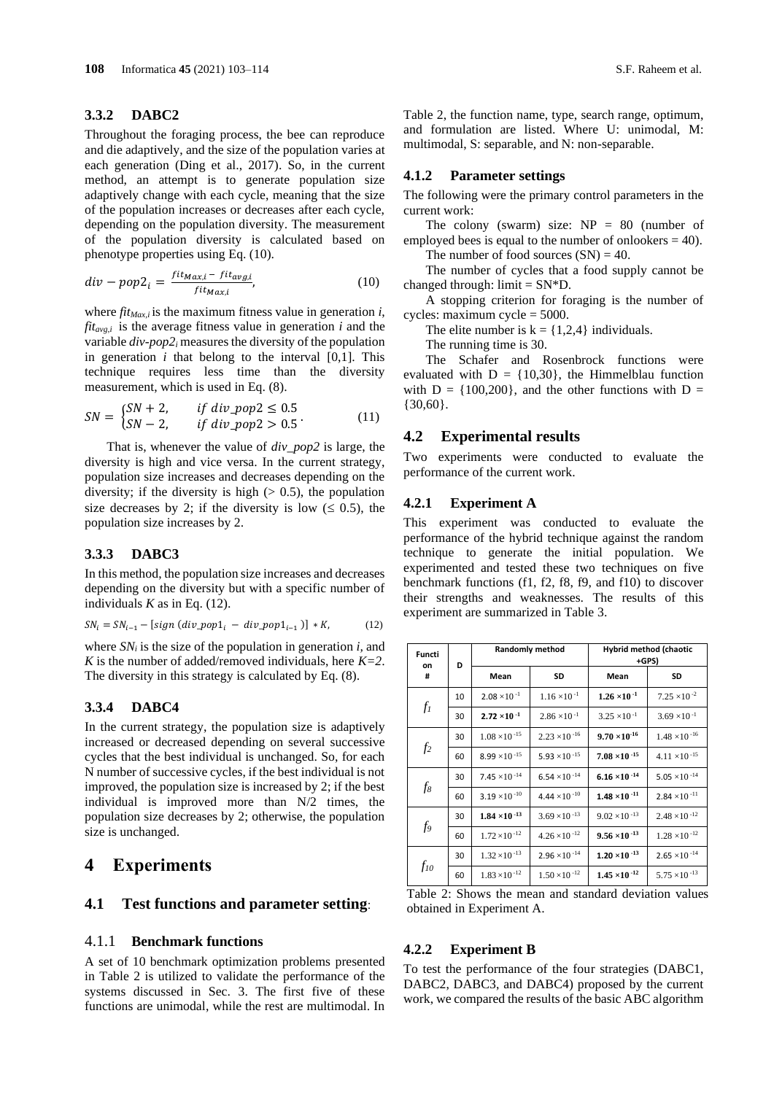#### **3.3.2 DABC2**

Throughout the foraging process, the bee can reproduce and die adaptively, and the size of the population varies at each generation (Ding et al., 2017). So, in the current method, an attempt is to generate population size adaptively change with each cycle, meaning that the size of the population increases or decreases after each cycle, depending on the population diversity. The measurement of the population diversity is calculated based on phenotype properties using Eq. (10).

$$
div - pop2_i = \frac{fit_{Max,i} - fit_{avg,i}}{fit_{Max,i}},
$$
\n(10)

where *fitMax,i* is the maximum fitness value in generation *i*,  $fit_{avg,i}$  is the average fitness value in generation *i* and the variable *div-pop2<sup>i</sup>* measures the diversity of the population in generation  $i$  that belong to the interval  $[0,1]$ . This technique requires less time than the diversity measurement, which is used in Eq. (8).

$$
SN = \begin{cases} SN + 2, & if \ div\_pop2 \le 0.5 \\ SN - 2, & if \ div\_pop2 > 0.5 \end{cases}
$$
(11)

That is, whenever the value of *div\_pop2* is large, the diversity is high and vice versa. In the current strategy, population size increases and decreases depending on the diversity; if the diversity is high  $(> 0.5)$ , the population size decreases by 2; if the diversity is low  $( \leq 0.5)$ , the population size increases by 2.

### **3.3.3 DABC3**

In this method, the population size increases and decreases depending on the diversity but with a specific number of individuals  $K$  as in Eq. (12).

$$
SN_{i} = SN_{i-1} - [sign (div\_pop1_{i} - div\_pop1_{i-1})] * K,
$$
 (12)

where  $SN_i$  is the size of the population in generation  $i$ , and *K* is the number of added/removed individuals, here  $K=2$ . The diversity in this strategy is calculated by Eq. (8).

### **3.3.4 DABC4**

In the current strategy, the population size is adaptively increased or decreased depending on several successive cycles that the best individual is unchanged. So, for each N number of successive cycles, if the best individual is not improved, the population size is increased by 2; if the best individual is improved more than N/2 times, the population size decreases by 2; otherwise, the population size is unchanged.

### **4 Experiments**

### **4.1 Test functions and parameter setting**:

### 4.1.1 **Benchmark functions**

A set of 10 benchmark optimization problems presented in Table 2 is utilized to validate the performance of the systems discussed in Sec. 3. The first five of these functions are unimodal, while the rest are multimodal. In Table 2, the function name, type, search range, optimum, and formulation are listed. Where U: unimodal, M: multimodal, S: separable, and N: non-separable.

#### **4.1.2 Parameter settings**

The following were the primary control parameters in the current work:

The colony (swarm) size:  $NP = 80$  (number of employed bees is equal to the number of onlookers  $= 40$ ).

The number of food sources  $(SN) = 40$ .

The number of cycles that a food supply cannot be changed through:  $\text{limit} = \text{SN*D}$ .

A stopping criterion for foraging is the number of cycles: maximum cycle = 5000.

The elite number is  $k = \{1,2,4\}$  individuals.

The running time is 30.

The Schafer and Rosenbrock functions were evaluated with  $D = \{10,30\}$ , the Himmelblau function with  $D = \{100, 200\}$ , and the other functions with  $D =$ {30,60}.

#### **4.2 Experimental results**

Two experiments were conducted to evaluate the performance of the current work.

#### **4.2.1 Experiment A**

This experiment was conducted to evaluate the performance of the hybrid technique against the random technique to generate the initial population. We experimented and tested these two techniques on five benchmark functions (f1, f2, f8, f9, and f10) to discover their strengths and weaknesses. The results of this experiment are summarized in Table 3.

| Functi<br>on   | D  |                        | Randomly method                 | Hybrid method (chaotic<br>+GPS) |                        |  |  |  |  |
|----------------|----|------------------------|---------------------------------|---------------------------------|------------------------|--|--|--|--|
| #              |    | Mean                   | SD                              | Mean                            | SD                     |  |  |  |  |
|                | 10 | $2.08 \times 10^{-1}$  | $1.16 \times 10^{-1}$           | $1.26 \times 10^{-1}$           | $7.25 \times 10^{-2}$  |  |  |  |  |
| $f_I$          | 30 | $2.72 \times 10^{-1}$  | $2.86 \times 10^{-1}$           | $3.25 \times 10^{-1}$           | $3.69 \times 10^{-1}$  |  |  |  |  |
|                | 30 | $1.08 \times 10^{-15}$ | $2.23 \times 10^{-16}$          | $9.70 \times 10^{-16}$          | $1.48 \times 10^{-16}$ |  |  |  |  |
| f <sub>2</sub> | 60 | $8.99 \times 10^{-15}$ | 5.93 $\times$ 10 <sup>-15</sup> | $7.08 \times 10^{-15}$          | $4.11 \times 10^{-15}$ |  |  |  |  |
|                | 30 | $7.45 \times 10^{-14}$ | $6.54 \times 10^{-14}$          | $6.16 \times 10^{-14}$          | $5.05 \times 10^{-14}$ |  |  |  |  |
| $f_8$          | 60 | $3.19 \times 10^{-10}$ | 4.44 $\times$ 10 <sup>-10</sup> | $1.48 \times 10^{-11}$          | $2.84 \times 10^{-11}$ |  |  |  |  |
|                | 30 | $1.84 \times 10^{-13}$ | $3.69 \times 10^{-13}$          | $9.02 \times 10^{-13}$          | $2.48 \times 10^{-12}$ |  |  |  |  |
| f9             | 60 | $1.72 \times 10^{-12}$ | $4.26 \times 10^{-12}$          | $9.56 \times 10^{-13}$          | $1.28 \times 10^{-12}$ |  |  |  |  |
|                | 30 | $1.32 \times 10^{-13}$ | $2.96 \times 10^{-14}$          | $1.20 \times 10^{-13}$          | $2.65 \times 10^{-14}$ |  |  |  |  |
| $f_{10}$       | 60 | $1.83 \times 10^{-12}$ | $1.50 \times 10^{-12}$          | $1.45 \times 10^{-12}$          | $5.75 \times 10^{-13}$ |  |  |  |  |

Table 2: Shows the mean and standard deviation values obtained in Experiment A.

#### **4.2.2 Experiment B**

To test the performance of the four strategies (DABC1, DABC2, DABC3, and DABC4) proposed by the current work, we compared the results of the basic ABC algorithm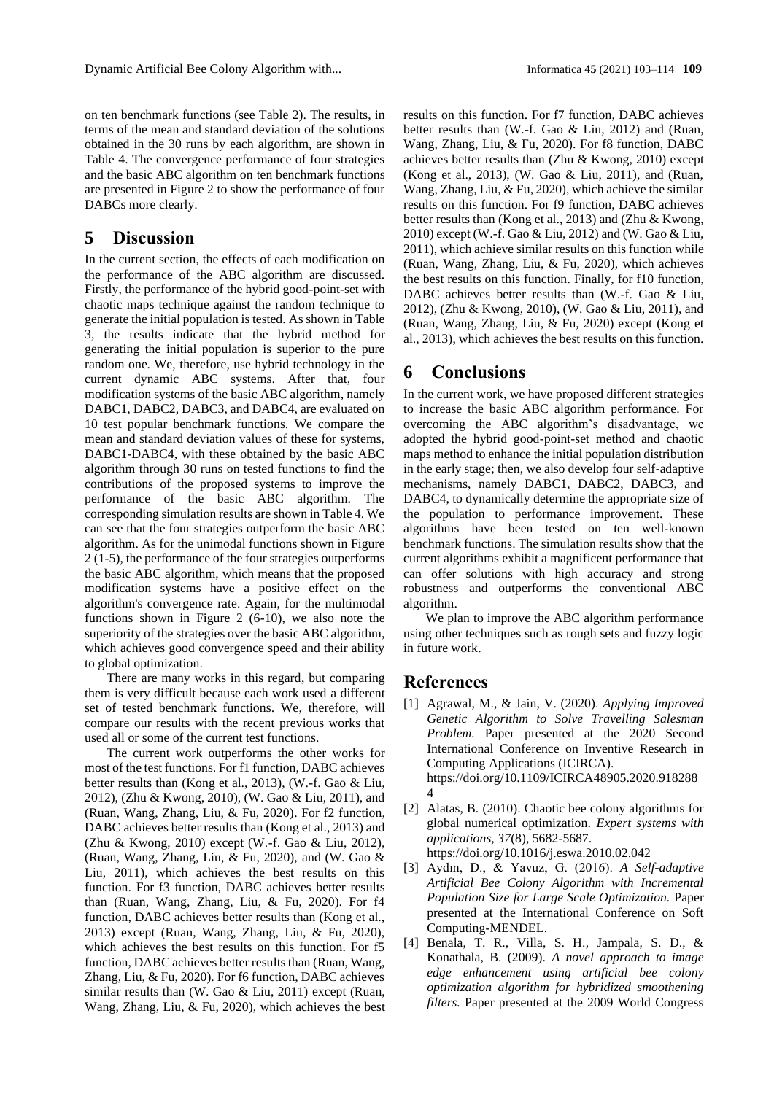on ten benchmark functions (see Table 2). The results, in terms of the mean and standard deviation of the solutions obtained in the 30 runs by each algorithm, are shown in Table 4. The convergence performance of four strategies and the basic ABC algorithm on ten benchmark functions are presented in Figure 2 to show the performance of four DABCs more clearly.

### **5 Discussion**

In the current section, the effects of each modification on the performance of the ABC algorithm are discussed. Firstly, the performance of the hybrid good-point-set with chaotic maps technique against the random technique to generate the initial population is tested. As shown in Table 3, the results indicate that the hybrid method for generating the initial population is superior to the pure random one. We, therefore, use hybrid technology in the current dynamic ABC systems. After that, four modification systems of the basic ABC algorithm, namely DABC1, DABC2, DABC3, and DABC4, are evaluated on 10 test popular benchmark functions. We compare the mean and standard deviation values of these for systems, DABC1-DABC4, with these obtained by the basic ABC algorithm through 30 runs on tested functions to find the contributions of the proposed systems to improve the performance of the basic ABC algorithm. The corresponding simulation results are shown in Table 4. We can see that the four strategies outperform the basic ABC algorithm. As for the unimodal functions shown in Figure 2 (1-5), the performance of the four strategies outperforms the basic ABC algorithm, which means that the proposed modification systems have a positive effect on the algorithm's convergence rate. Again, for the multimodal functions shown in Figure 2 (6-10), we also note the superiority of the strategies over the basic ABC algorithm, which achieves good convergence speed and their ability to global optimization.

There are many works in this regard, but comparing them is very difficult because each work used a different set of tested benchmark functions. We, therefore, will compare our results with the recent previous works that used all or some of the current test functions.

The current work outperforms the other works for most of the test functions. For f1 function, DABC achieves better results than (Kong et al., 2013), (W.-f. Gao & Liu, 2012), (Zhu & Kwong, 2010), (W. Gao & Liu, 2011), and (Ruan, Wang, Zhang, Liu, & Fu, 2020). For f2 function, DABC achieves better results than (Kong et al., 2013) and (Zhu & Kwong, 2010) except (W.-f. Gao & Liu, 2012), (Ruan, Wang, Zhang, Liu, & Fu, 2020), and (W. Gao & Liu, 2011), which achieves the best results on this function. For f3 function, DABC achieves better results than (Ruan, Wang, Zhang, Liu, & Fu, 2020). For f4 function, DABC achieves better results than (Kong et al., 2013) except (Ruan, Wang, Zhang, Liu, & Fu, 2020), which achieves the best results on this function. For f5 function, DABC achieves better results than (Ruan, Wang, Zhang, Liu, & Fu, 2020). For f6 function, DABC achieves similar results than (W. Gao & Liu, 2011) except (Ruan, Wang, Zhang, Liu, & Fu, 2020), which achieves the best

results on this function. For f7 function, DABC achieves better results than (W.-f. Gao & Liu, 2012) and (Ruan, Wang, Zhang, Liu, & Fu, 2020). For f8 function, DABC achieves better results than (Zhu & Kwong, 2010) except (Kong et al., 2013), (W. Gao & Liu, 2011), and (Ruan, Wang, Zhang, Liu, & Fu, 2020), which achieve the similar results on this function. For f9 function, DABC achieves better results than (Kong et al., 2013) and (Zhu & Kwong, 2010) except (W.-f. Gao & Liu, 2012) and (W. Gao & Liu, 2011), which achieve similar results on this function while (Ruan, Wang, Zhang, Liu, & Fu, 2020), which achieves the best results on this function. Finally, for f10 function, DABC achieves better results than (W.-f. Gao & Liu, 2012), (Zhu & Kwong, 2010), (W. Gao & Liu, 2011), and (Ruan, Wang, Zhang, Liu, & Fu, 2020) except (Kong et al., 2013), which achieves the best results on this function.

# **6 Conclusions**

In the current work, we have proposed different strategies to increase the basic ABC algorithm performance. For overcoming the ABC algorithm's disadvantage, we adopted the hybrid good-point-set method and chaotic maps method to enhance the initial population distribution in the early stage; then, we also develop four self-adaptive mechanisms, namely DABC1, DABC2, DABC3, and DABC4, to dynamically determine the appropriate size of the population to performance improvement. These algorithms have been tested on ten well-known benchmark functions. The simulation results show that the current algorithms exhibit a magnificent performance that can offer solutions with high accuracy and strong robustness and outperforms the conventional ABC algorithm.

We plan to improve the ABC algorithm performance using other techniques such as rough sets and fuzzy logic in future work.

### **References**

- [1] Agrawal, M., & Jain, V. (2020). *Applying Improved Genetic Algorithm to Solve Travelling Salesman Problem.* Paper presented at the 2020 Second International Conference on Inventive Research in Computing Applications (ICIRCA). https://doi.org/10.1109/ICIRCA48905.2020.918288 4
- [2] Alatas, B. (2010). Chaotic bee colony algorithms for global numerical optimization. *Expert systems with applications, 37*(8), 5682-5687. https://doi.org/10.1016/j.eswa.2010.02.042
- [3] Aydın, D., & Yavuz, G. (2016). *A Self-adaptive Artificial Bee Colony Algorithm with Incremental Population Size for Large Scale Optimization.* Paper presented at the International Conference on Soft Computing-MENDEL.
- [4] Benala, T. R., Villa, S. H., Jampala, S. D., & Konathala, B. (2009). *A novel approach to image edge enhancement using artificial bee colony optimization algorithm for hybridized smoothening filters.* Paper presented at the 2009 World Congress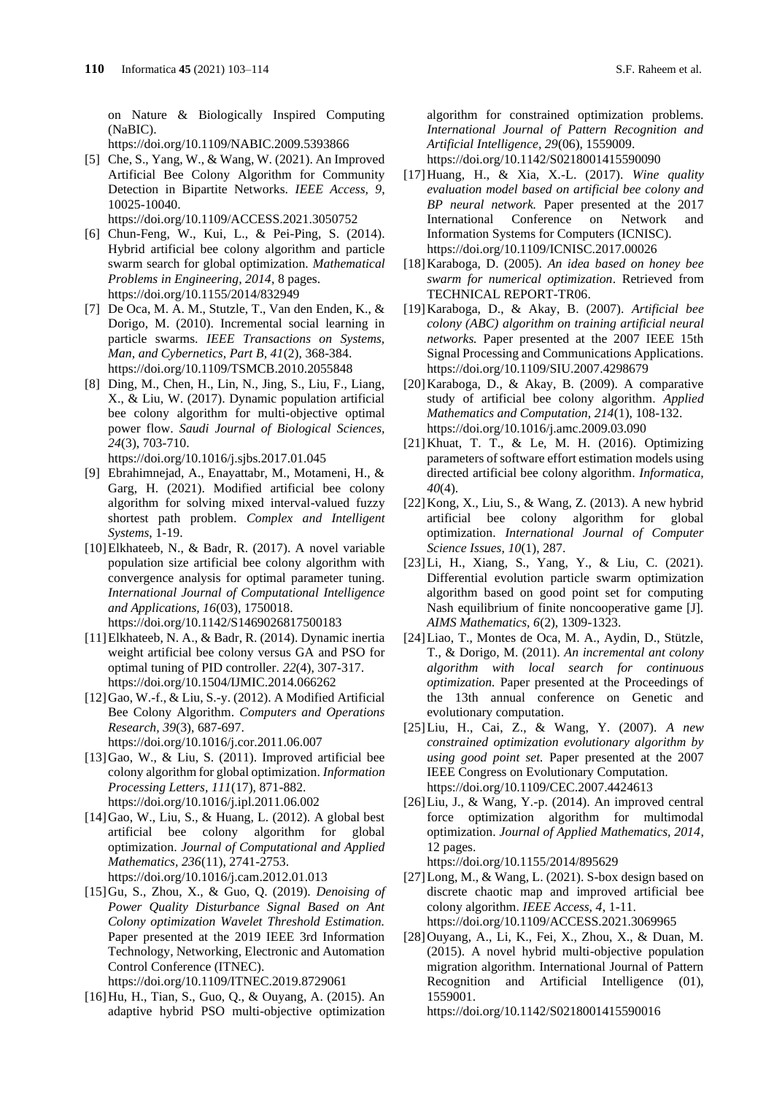on Nature & Biologically Inspired Computing (NaBIC).

https://doi.org/10.1109/NABIC.2009.5393866

[5] Che, S., Yang, W., & Wang, W. (2021). An Improved Artificial Bee Colony Algorithm for Community Detection in Bipartite Networks. *IEEE Access, 9*, 10025-10040.

https://doi.org/10.1109/ACCESS.2021.3050752

- [6] Chun-Feng, W., Kui, L., & Pei-Ping, S. (2014). Hybrid artificial bee colony algorithm and particle swarm search for global optimization. *Mathematical Problems in Engineering, 2014*, 8 pages. https://doi.org/10.1155/2014/832949
- [7] De Oca, M. A. M., Stutzle, T., Van den Enden, K., & Dorigo, M. (2010). Incremental social learning in particle swarms. *IEEE Transactions on Systems, Man, and Cybernetics, Part B, 41*(2), 368-384. https://doi.org/10.1109/TSMCB.2010.2055848
- [8] Ding, M., Chen, H., Lin, N., Jing, S., Liu, F., Liang, X., & Liu, W. (2017). Dynamic population artificial bee colony algorithm for multi-objective optimal power flow. *Saudi Journal of Biological Sciences, 24*(3), 703-710.

https://doi.org/10.1016/j.sjbs.2017.01.045

- [9] Ebrahimnejad, A., Enayattabr, M., Motameni, H., & Garg, H. (2021). Modified artificial bee colony algorithm for solving mixed interval-valued fuzzy shortest path problem. *Complex and Intelligent Systems*, 1-19.
- [10]Elkhateeb, N., & Badr, R. (2017). A novel variable population size artificial bee colony algorithm with convergence analysis for optimal parameter tuning. *International Journal of Computational Intelligence and Applications, 16*(03), 1750018. https://doi.org/10.1142/S1469026817500183
- [11]Elkhateeb, N. A., & Badr, R. (2014). Dynamic inertia weight artificial bee colony versus GA and PSO for optimal tuning of PID controller. *22*(4), 307-317. https://doi.org/10.1504/IJMIC.2014.066262
- [12]Gao, W.-f., & Liu, S.-y. (2012). A Modified Artificial Bee Colony Algorithm. *Computers and Operations Research, 39*(3), 687-697. https://doi.org/10.1016/j.cor.2011.06.007
- [13]Gao, W., & Liu, S. (2011). Improved artificial bee colony algorithm for global optimization. *Information Processing Letters, 111*(17), 871-882. https://doi.org/10.1016/j.ipl.2011.06.002
- [14]Gao, W., Liu, S., & Huang, L. (2012). A global best artificial bee colony algorithm for global optimization. *Journal of Computational and Applied Mathematics, 236*(11), 2741-2753. https://doi.org/10.1016/j.cam.2012.01.013
- [15]Gu, S., Zhou, X., & Guo, Q. (2019). *Denoising of Power Quality Disturbance Signal Based on Ant Colony optimization Wavelet Threshold Estimation.* Paper presented at the 2019 IEEE 3rd Information Technology, Networking, Electronic and Automation Control Conference (ITNEC). https://doi.org/10.1109/ITNEC.2019.8729061

[16]Hu, H., Tian, S., Guo, Q., & Ouyang, A. (2015). An adaptive hybrid PSO multi-objective optimization algorithm for constrained optimization problems. *International Journal of Pattern Recognition and Artificial Intelligence, 29*(06), 1559009. https://doi.org/10.1142/S0218001415590090

- [17]Huang, H., & Xia, X.-L. (2017). *Wine quality evaluation model based on artificial bee colony and BP neural network.* Paper presented at the 2017 International Conference on Network and Information Systems for Computers (ICNISC). https://doi.org/10.1109/ICNISC.2017.00026
- [18]Karaboga, D. (2005). *An idea based on honey bee swarm for numerical optimization*. Retrieved from TECHNICAL REPORT-TR06.
- [19]Karaboga, D., & Akay, B. (2007). *Artificial bee colony (ABC) algorithm on training artificial neural networks.* Paper presented at the 2007 IEEE 15th Signal Processing and Communications Applications. https://doi.org/10.1109/SIU.2007.4298679
- [20]Karaboga, D., & Akay, B. (2009). A comparative study of artificial bee colony algorithm. *Applied Mathematics and Computation, 214*(1), 108-132. https://doi.org/10.1016/j.amc.2009.03.090
- [21]Khuat, T. T., & Le, M. H. (2016). Optimizing parameters of software effort estimation models using directed artificial bee colony algorithm. *Informatica, 40*(4).
- [22]Kong, X., Liu, S., & Wang, Z. (2013). A new hybrid artificial bee colony algorithm for global optimization. *International Journal of Computer Science Issues, 10*(1), 287.
- [23]Li, H., Xiang, S., Yang, Y., & Liu, C. (2021). Differential evolution particle swarm optimization algorithm based on good point set for computing Nash equilibrium of finite noncooperative game [J]. *AIMS Mathematics, 6*(2), 1309-1323.
- [24]Liao, T., Montes de Oca, M. A., Aydin, D., Stützle, T., & Dorigo, M. (2011). *An incremental ant colony algorithm with local search for continuous optimization.* Paper presented at the Proceedings of the 13th annual conference on Genetic and evolutionary computation.
- [25]Liu, H., Cai, Z., & Wang, Y. (2007). *A new constrained optimization evolutionary algorithm by using good point set.* Paper presented at the 2007 IEEE Congress on Evolutionary Computation. https://doi.org/10.1109/CEC.2007.4424613
- [26]Liu, J., & Wang, Y.-p. (2014). An improved central force optimization algorithm for multimodal optimization. *Journal of Applied Mathematics, 2014*, 12 pages.

https://doi.org/10.1155/2014/895629

- $[27]$ Long, M., & Wang, L. (2021). S-box design based on discrete chaotic map and improved artificial bee colony algorithm. *IEEE Access, 4*, 1-11. https://doi.org/10.1109/ACCESS.2021.3069965
- [28]Ouyang, A., Li, K., Fei, X., Zhou, X., & Duan, M. (2015). A novel hybrid multi-objective population migration algorithm. International Journal of Pattern Recognition and Artificial Intelligence (01), 1559001.

https://doi.org/10.1142/S0218001415590016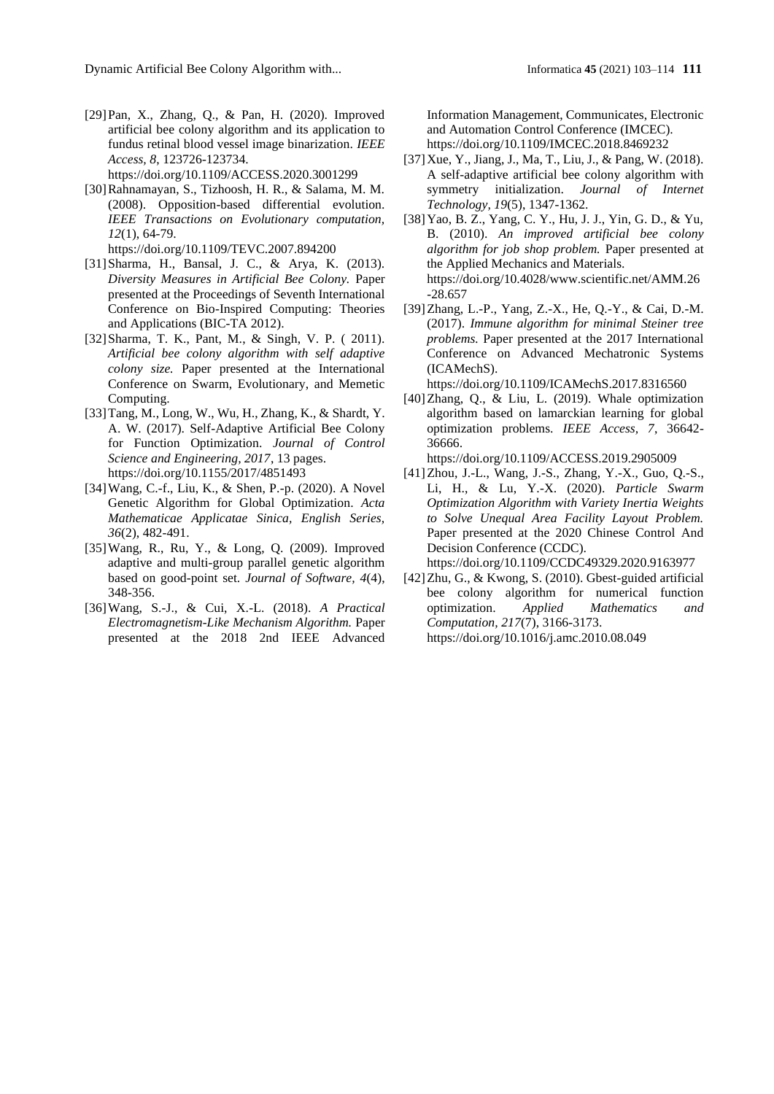- [29]Pan, X., Zhang, Q., & Pan, H. (2020). Improved artificial bee colony algorithm and its application to fundus retinal blood vessel image binarization. *IEEE Access, 8*, 123726-123734. https://doi.org/10.1109/ACCESS.2020.3001299
- [30]Rahnamayan, S., Tizhoosh, H. R., & Salama, M. M. (2008). Opposition-based differential evolution. *IEEE Transactions on Evolutionary computation, 12*(1), 64-79.

https://doi.org/10.1109/TEVC.2007.894200

- [31]Sharma, H., Bansal, J. C., & Arya, K. (2013). *Diversity Measures in Artificial Bee Colony.* Paper presented at the Proceedings of Seventh International Conference on Bio-Inspired Computing: Theories and Applications (BIC-TA 2012).
- [32] Sharma, T. K., Pant, M., & Singh, V. P. (2011). *Artificial bee colony algorithm with self adaptive colony size.* Paper presented at the International Conference on Swarm, Evolutionary, and Memetic Computing.
- [33]Tang, M., Long, W., Wu, H., Zhang, K., & Shardt, Y. A. W. (2017). Self-Adaptive Artificial Bee Colony for Function Optimization. *Journal of Control Science and Engineering, 2017*, 13 pages. https://doi.org/10.1155/2017/4851493
- [34]Wang, C.-f., Liu, K., & Shen, P.-p. (2020). A Novel Genetic Algorithm for Global Optimization. *Acta Mathematicae Applicatae Sinica, English Series, 36*(2), 482-491.
- [35]Wang, R., Ru, Y., & Long, Q. (2009). Improved adaptive and multi-group parallel genetic algorithm based on good-point set. *Journal of Software, 4*(4), 348-356.
- [36]Wang, S.-J., & Cui, X.-L. (2018). *A Practical Electromagnetism-Like Mechanism Algorithm.* Paper presented at the 2018 2nd IEEE Advanced

Information Management, Communicates, Electronic and Automation Control Conference (IMCEC). https://doi.org/10.1109/IMCEC.2018.8469232

- [37]Xue, Y., Jiang, J., Ma, T., Liu, J., & Pang, W. (2018). A self-adaptive artificial bee colony algorithm with symmetry initialization. *Journal of Internet Technology, 19*(5), 1347-1362.
- [38]Yao, B. Z., Yang, C. Y., Hu, J. J., Yin, G. D., & Yu, B. (2010). *An improved artificial bee colony algorithm for job shop problem.* Paper presented at the Applied Mechanics and Materials. https://doi.org/10.4028/www.scientific.net/AMM.26 -28.657
- [39]Zhang, L.-P., Yang, Z.-X., He, Q.-Y., & Cai, D.-M. (2017). *Immune algorithm for minimal Steiner tree problems.* Paper presented at the 2017 International Conference on Advanced Mechatronic Systems (ICAMechS).

https://doi.org/10.1109/ICAMechS.2017.8316560

[40]Zhang, Q., & Liu, L. (2019). Whale optimization algorithm based on lamarckian learning for global optimization problems. *IEEE Access, 7*, 36642- 36666.

https://doi.org/10.1109/ACCESS.2019.2905009

[41]Zhou, J.-L., Wang, J.-S., Zhang, Y.-X., Guo, Q.-S., Li, H., & Lu, Y.-X. (2020). *Particle Swarm Optimization Algorithm with Variety Inertia Weights to Solve Unequal Area Facility Layout Problem.* Paper presented at the 2020 Chinese Control And Decision Conference (CCDC).

https://doi.org/10.1109/CCDC49329.2020.9163977

[42]Zhu, G., & Kwong, S. (2010). Gbest-guided artificial bee colony algorithm for numerical function optimization. *Applied Mathematics and Computation, 217*(7), 3166-3173. https://doi.org/10.1016/j.amc.2010.08.049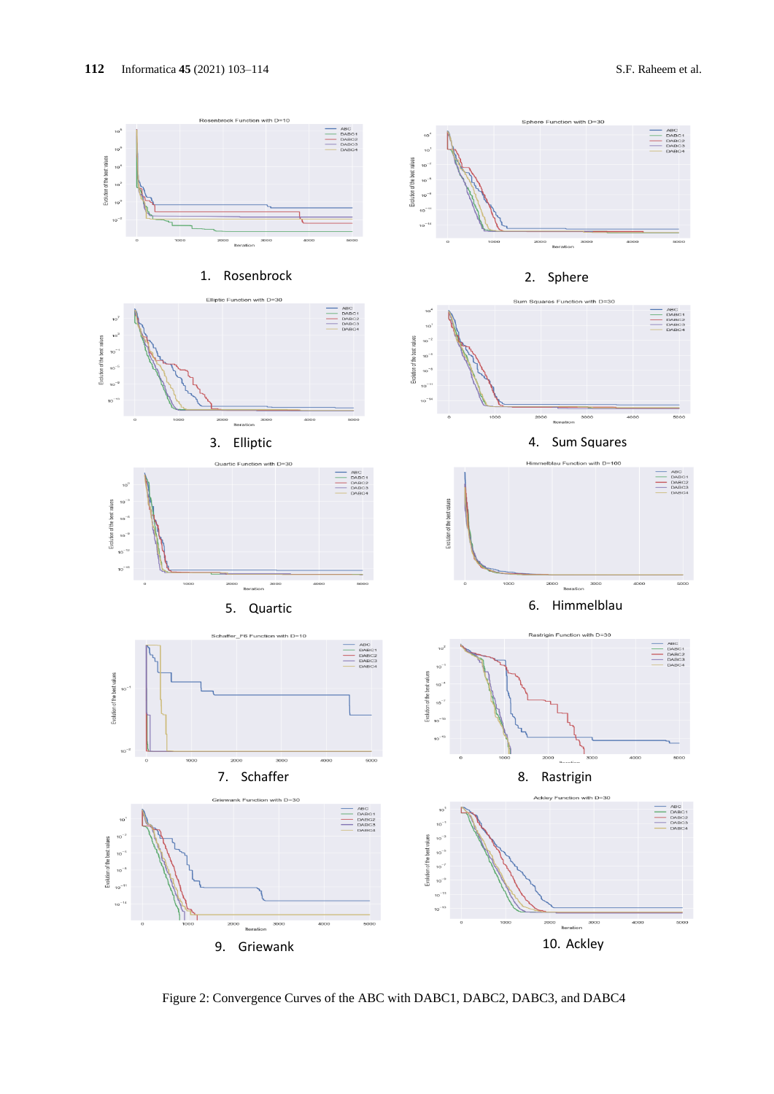



Figure 2: Convergence Curves of the ABC with DABC1, DABC2, DABC3, and DABC4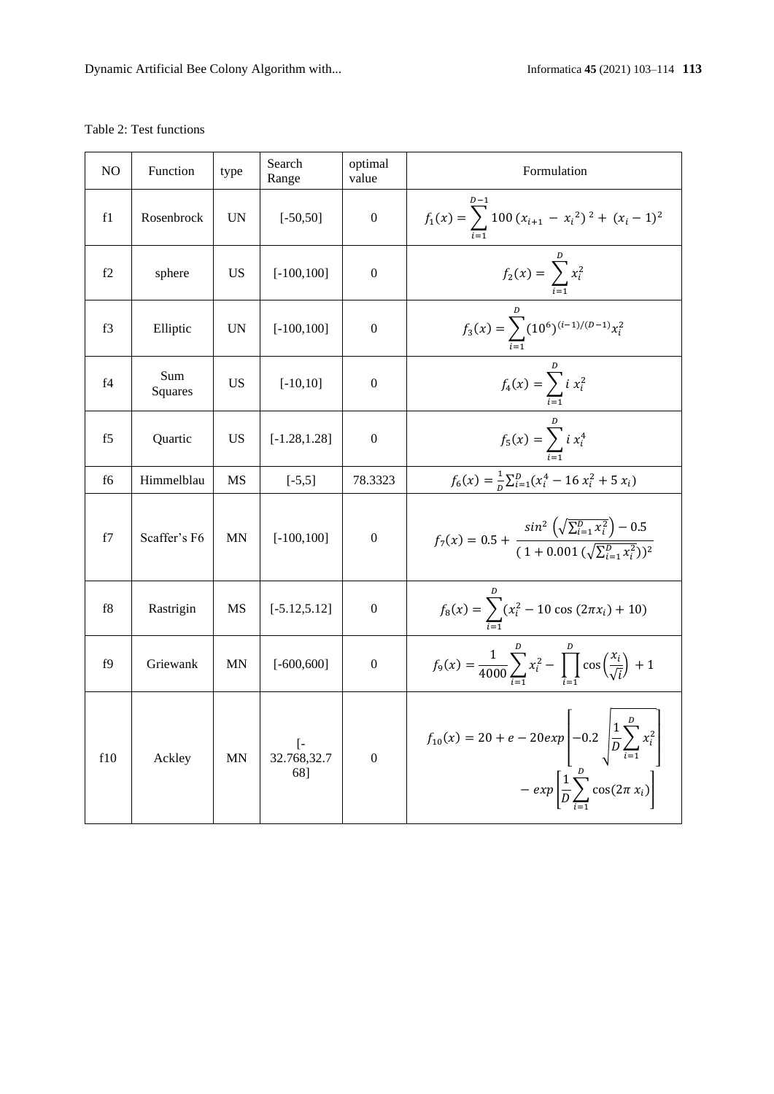### Table 2: Test functions

| NO             | Function       | type      | Search<br>Range                                              | optimal<br>value | Formulation                                                                                                                                                |  |  |  |  |
|----------------|----------------|-----------|--------------------------------------------------------------|------------------|------------------------------------------------------------------------------------------------------------------------------------------------------------|--|--|--|--|
| f1             | Rosenbrock     | <b>UN</b> | $[-50, 50]$                                                  | $\boldsymbol{0}$ | $f_1(x) = \sum_{i=1}^{n} 100 (x_{i+1} - x_i^2)^2 + (x_i - 1)^2$                                                                                            |  |  |  |  |
| f2             | sphere         | <b>US</b> | $[-100, 100]$                                                | $\mathbf{0}$     | $f_2(x) = \sum_{i=1}^{n} x_i^2$                                                                                                                            |  |  |  |  |
| f3             | Elliptic       | <b>UN</b> | $[-100, 100]$                                                | $\mathbf{0}$     | $f_3(x) = \sum_{i=1}^{b} (10^6)^{(i-1)/(D-1)} x_i^2$                                                                                                       |  |  |  |  |
| f4             | Sum<br>Squares | <b>US</b> | $[-10, 10]$                                                  | $\boldsymbol{0}$ | $f_4(x) = \sum_{i=1}^{6} i x_i^2$                                                                                                                          |  |  |  |  |
| f <sub>5</sub> | Quartic        | <b>US</b> | $[-1.28, 1.28]$                                              | $\boldsymbol{0}$ | $f_5(x) = \sum_{i=1}^{6} i x_i^4$                                                                                                                          |  |  |  |  |
| f6             | Himmelblau     | <b>MS</b> | $[-5,5]$                                                     | 78.3323          | $f_6(x) = \frac{1}{n} \sum_{i=1}^{D} (x_i^4 - 16 x_i^2 + 5 x_i)$                                                                                           |  |  |  |  |
| f7             | Scaffer's F6   | MN        | $[-100, 100]$                                                | $\mathbf{0}$     | $f_7(x) = 0.5 + \frac{\sin^2\left(\sqrt{\sum_{i=1}^D x_i^2}\right) - 0.5}{(1 + 0.001\left(\sqrt{\sum_{i=1}^D x_i^2}\right))^2}$                            |  |  |  |  |
| f8             | Rastrigin      | <b>MS</b> | $[-5.12, 5.12]$                                              | $\mathbf{0}$     | $f_8(x) = \sum_{i=1}^{6} (x_i^2 - 10 \cos(2\pi x_i) + 10)$                                                                                                 |  |  |  |  |
| f9             | Griewank       | MN        | $[-600, 600]$                                                | $\mathbf{0}$     | $f_9(x) = \frac{1}{4000} \sum_{i=1}^{D} x_i^2 - \prod_{i=1}^{D} \cos\left(\frac{x_i}{\sqrt{i}}\right) + 1$                                                 |  |  |  |  |
| f10            | Ackley         | MN        | $\begin{bmatrix} -8.32 & -7.68 & -7.88 \end{bmatrix}$<br>68] | $\boldsymbol{0}$ | $f_{10}(x) = 20 + e - 20exp\left[-0.2 \int_{0}^{1} \frac{1}{D} \sum_{i=1}^{D} x_i^2\right]$<br>$-\exp\left[\frac{1}{D}\sum_{i=1}^{D}\cos(2\pi x_i)\right]$ |  |  |  |  |